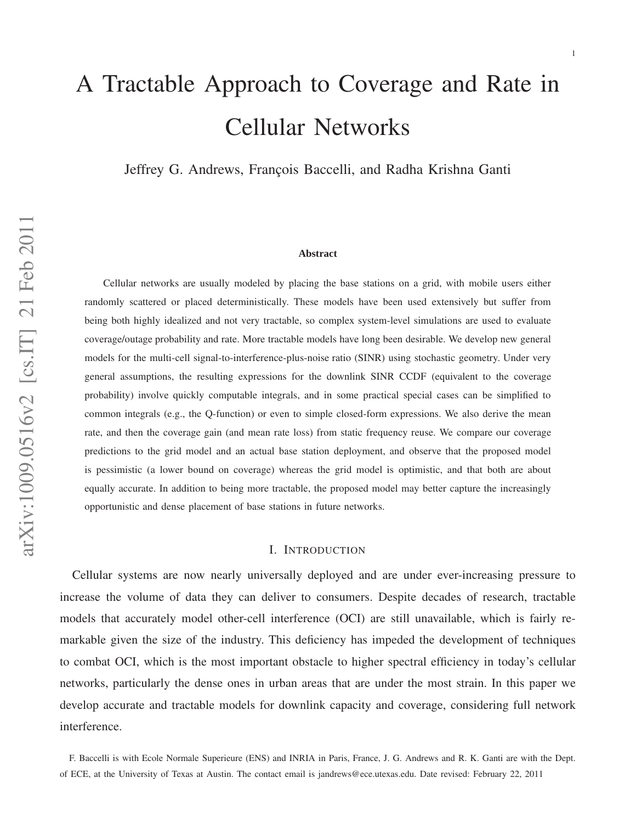# A Tractable Approach to Coverage and Rate in Cellular Networks

Jeffrey G. Andrews, François Baccelli, and Radha Krishna Ganti

#### **Abstract**

Cellular networks are usually modeled by placing the base stations on a grid, with mobile users either randomly scattered or placed deterministically. These models have been used extensively but suffer from being both highly idealized and not very tractable, so complex system-level simulations are used to evaluate coverage/outage probability and rate. More tractable models have long been desirable. We develop new general models for the multi-cell signal-to-interference-plus-noise ratio (SINR) using stochastic geometry. Under very general assumptions, the resulting expressions for the downlink SINR CCDF (equivalent to the coverage probability) involve quickly computable integrals, and in some practical special cases can be simplified to common integrals (e.g., the Q-function) or even to simple closed-form expressions. We also derive the mean rate, and then the coverage gain (and mean rate loss) from static frequency reuse. We compare our coverage predictions to the grid model and an actual base station deployment, and observe that the proposed model is pessimistic (a lower bound on coverage) whereas the grid model is optimistic, and that both are about equally accurate. In addition to being more tractable, the proposed model may better capture the increasingly opportunistic and dense placement of base stations in future networks.

# I. INTRODUCTION

Cellular systems are now nearly universally deployed and are under ever-increasing pressure to increase the volume of data they can deliver to consumers. Despite decades of research, tractable models that accurately model other-cell interference (OCI) are still unavailable, which is fairly remarkable given the size of the industry. This deficiency has impeded the development of techniques to combat OCI, which is the most important obstacle to higher spectral efficiency in today's cellular networks, particularly the dense ones in urban areas that are under the most strain. In this paper we develop accurate and tractable models for downlink capacity and coverage, considering full network interference.

F. Baccelli is with Ecole Normale Superieure (ENS) and INRIA in Paris, France, J. G. Andrews and R. K. Ganti are with the Dept. of ECE, at the University of Texas at Austin. The contact email is jandrews@ece.utexas.edu. Date revised: February 22, 2011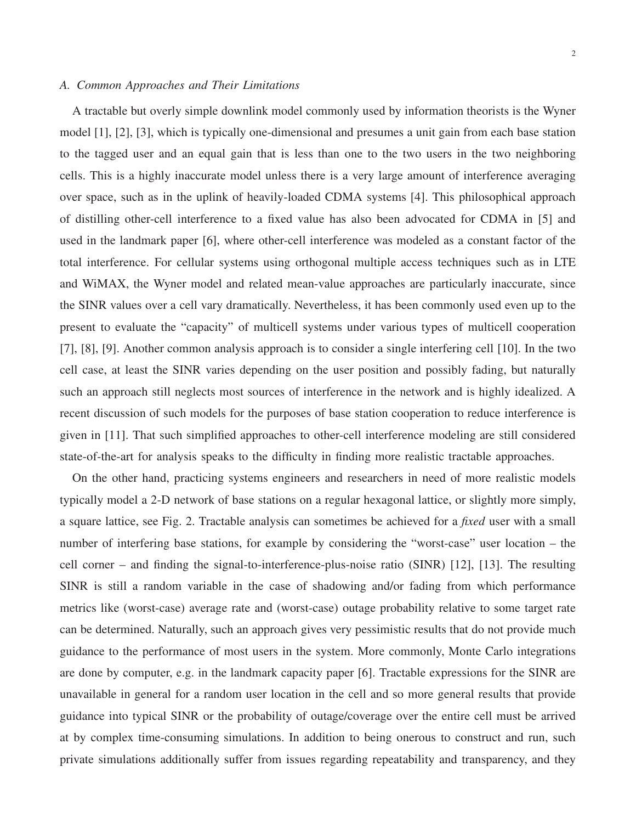# *A. Common Approaches and Their Limitations*

A tractable but overly simple downlink model commonly used by information theorists is the Wyner model [1], [2], [3], which is typically one-dimensional and presumes a unit gain from each base station to the tagged user and an equal gain that is less than one to the two users in the two neighboring cells. This is a highly inaccurate model unless there is a very large amount of interference averaging over space, such as in the uplink of heavily-loaded CDMA systems [4]. This philosophical approach of distilling other-cell interference to a fixed value has also been advocated for CDMA in [5] and used in the landmark paper [6], where other-cell interference was modeled as a constant factor of the total interference. For cellular systems using orthogonal multiple access techniques such as in LTE and WiMAX, the Wyner model and related mean-value approaches are particularly inaccurate, since the SINR values over a cell vary dramatically. Nevertheless, it has been commonly used even up to the present to evaluate the "capacity" of multicell systems under various types of multicell cooperation [7], [8], [9]. Another common analysis approach is to consider a single interfering cell [10]. In the two cell case, at least the SINR varies depending on the user position and possibly fading, but naturally such an approach still neglects most sources of interference in the network and is highly idealized. A recent discussion of such models for the purposes of base station cooperation to reduce interference is given in [11]. That such simplified approaches to other-cell interference modeling are still considered state-of-the-art for analysis speaks to the difficulty in finding more realistic tractable approaches.

On the other hand, practicing systems engineers and researchers in need of more realistic models typically model a 2-D network of base stations on a regular hexagonal lattice, or slightly more simply, a square lattice, see Fig. 2. Tractable analysis can sometimes be achieved for a *fixed* user with a small number of interfering base stations, for example by considering the "worst-case" user location – the cell corner – and finding the signal-to-interference-plus-noise ratio (SINR) [12], [13]. The resulting SINR is still a random variable in the case of shadowing and/or fading from which performance metrics like (worst-case) average rate and (worst-case) outage probability relative to some target rate can be determined. Naturally, such an approach gives very pessimistic results that do not provide much guidance to the performance of most users in the system. More commonly, Monte Carlo integrations are done by computer, e.g. in the landmark capacity paper [6]. Tractable expressions for the SINR are unavailable in general for a random user location in the cell and so more general results that provide guidance into typical SINR or the probability of outage/coverage over the entire cell must be arrived at by complex time-consuming simulations. In addition to being onerous to construct and run, such private simulations additionally suffer from issues regarding repeatability and transparency, and they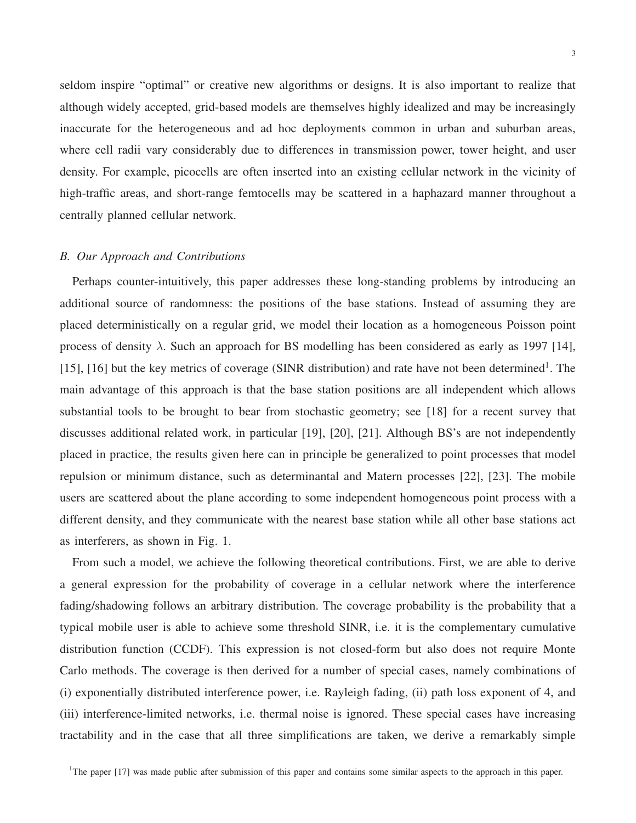seldom inspire "optimal" or creative new algorithms or designs. It is also important to realize that although widely accepted, grid-based models are themselves highly idealized and may be increasingly inaccurate for the heterogeneous and ad hoc deployments common in urban and suburban areas, where cell radii vary considerably due to differences in transmission power, tower height, and user density. For example, picocells are often inserted into an existing cellular network in the vicinity of high-traffic areas, and short-range femtocells may be scattered in a haphazard manner throughout a centrally planned cellular network.

# *B. Our Approach and Contributions*

Perhaps counter-intuitively, this paper addresses these long-standing problems by introducing an additional source of randomness: the positions of the base stations. Instead of assuming they are placed deterministically on a regular grid, we model their location as a homogeneous Poisson point process of density  $λ$ . Such an approach for BS modelling has been considered as early as 1997 [14], [15], [16] but the key metrics of coverage (SINR distribution) and rate have not been determined<sup>1</sup>. The main advantage of this approach is that the base station positions are all independent which allows substantial tools to be brought to bear from stochastic geometry; see [18] for a recent survey that discusses additional related work, in particular [19], [20], [21]. Although BS's are not independently placed in practice, the results given here can in principle be generalized to point processes that model repulsion or minimum distance, such as determinantal and Matern processes [22], [23]. The mobile users are scattered about the plane according to some independent homogeneous point process with a different density, and they communicate with the nearest base station while all other base stations act as interferers, as shown in Fig. 1.

From such a model, we achieve the following theoretical contributions. First, we are able to derive a general expression for the probability of coverage in a cellular network where the interference fading/shadowing follows an arbitrary distribution. The coverage probability is the probability that a typical mobile user is able to achieve some threshold SINR, i.e. it is the complementary cumulative distribution function (CCDF). This expression is not closed-form but also does not require Monte Carlo methods. The coverage is then derived for a number of special cases, namely combinations of (i) exponentially distributed interference power, i.e. Rayleigh fading, (ii) path loss exponent of 4, and (iii) interference-limited networks, i.e. thermal noise is ignored. These special cases have increasing tractability and in the case that all three simplifications are taken, we derive a remarkably simple

<sup>&</sup>lt;sup>1</sup>The paper [17] was made public after submission of this paper and contains some similar aspects to the approach in this paper.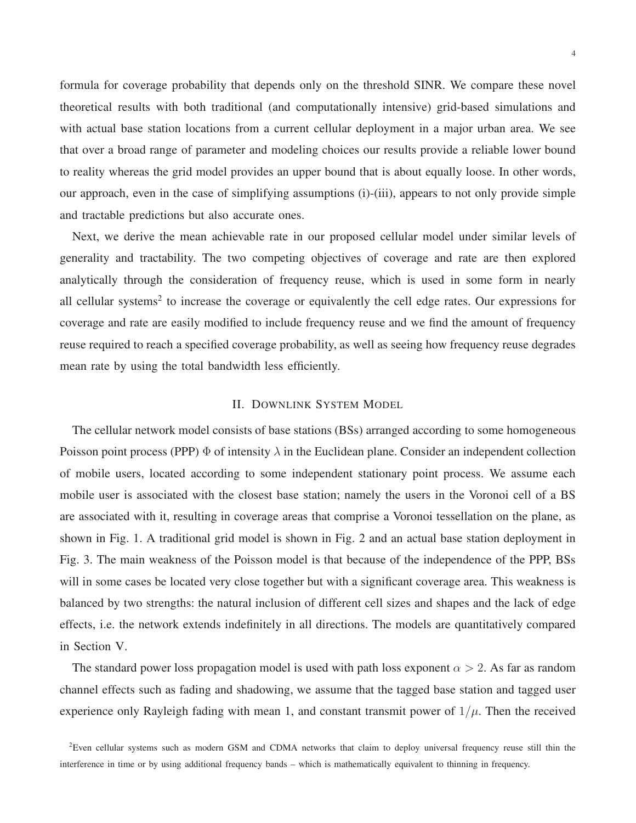formula for coverage probability that depends only on the threshold SINR. We compare these novel theoretical results with both traditional (and computationally intensive) grid-based simulations and with actual base station locations from a current cellular deployment in a major urban area. We see that over a broad range of parameter and modeling choices our results provide a reliable lower bound to reality whereas the grid model provides an upper bound that is about equally loose. In other words, our approach, even in the case of simplifying assumptions (i)-(iii), appears to not only provide simple and tractable predictions but also accurate ones.

Next, we derive the mean achievable rate in our proposed cellular model under similar levels of generality and tractability. The two competing objectives of coverage and rate are then explored analytically through the consideration of frequency reuse, which is used in some form in nearly all cellular systems<sup>2</sup> to increase the coverage or equivalently the cell edge rates. Our expressions for coverage and rate are easily modified to include frequency reuse and we find the amount of frequency reuse required to reach a specified coverage probability, as well as seeing how frequency reuse degrades mean rate by using the total bandwidth less efficiently.

#### II. DOWNLINK SYSTEM MODEL

The cellular network model consists of base stations (BSs) arranged according to some homogeneous Poisson point process (PPP)  $\Phi$  of intensity  $\lambda$  in the Euclidean plane. Consider an independent collection of mobile users, located according to some independent stationary point process. We assume each mobile user is associated with the closest base station; namely the users in the Voronoi cell of a BS are associated with it, resulting in coverage areas that comprise a Voronoi tessellation on the plane, as shown in Fig. 1. A traditional grid model is shown in Fig. 2 and an actual base station deployment in Fig. 3. The main weakness of the Poisson model is that because of the independence of the PPP, BSs will in some cases be located very close together but with a significant coverage area. This weakness is balanced by two strengths: the natural inclusion of different cell sizes and shapes and the lack of edge effects, i.e. the network extends indefinitely in all directions. The models are quantitatively compared in Section V.

The standard power loss propagation model is used with path loss exponent  $\alpha > 2$ . As far as random channel effects such as fading and shadowing, we assume that the tagged base station and tagged user experience only Rayleigh fading with mean 1, and constant transmit power of  $1/\mu$ . Then the received

<sup>&</sup>lt;sup>2</sup>Even cellular systems such as modern GSM and CDMA networks that claim to deploy universal frequency reuse still thin the interference in time or by using additional frequency bands – which is mathematically equivalent to thinning in frequency.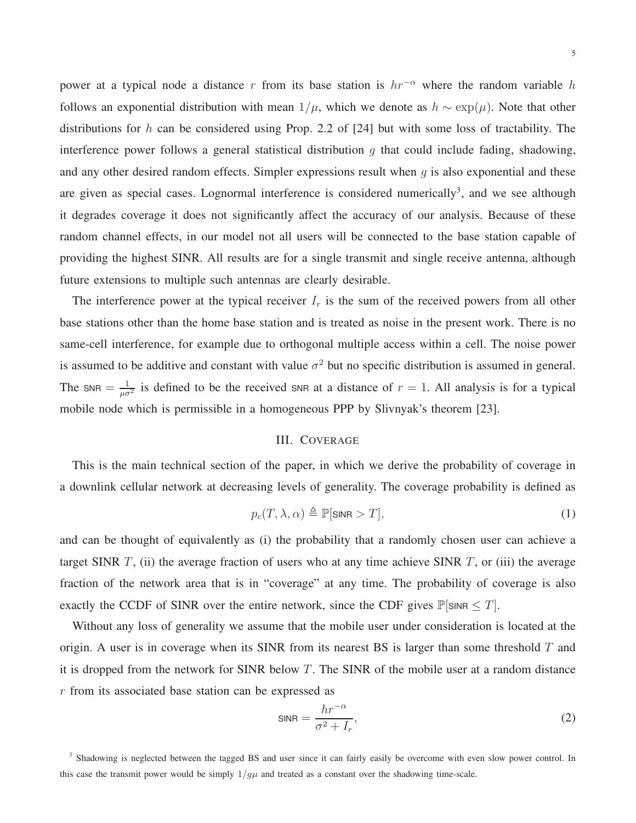power at a typical node a distance r from its base station is  $hr^{-\alpha}$  where the random variable h follows an exponential distribution with mean  $1/\mu$ , which we denote as  $h \sim \exp(\mu)$ . Note that other distributions for  $h$  can be considered using Prop. 2.2 of [24] but with some loss of tractability. The interference power follows a general statistical distribution q that could include fading, shadowing, and any other desired random effects. Simpler expressions result when  $q$  is also exponential and these are given as special cases. Lognormal interference is considered numerically<sup>3</sup>, and we see although it degrades coverage it does not significantly affect the accuracy of our analysis. Because of these random channel effects, in our model not all users will be connected to the base station capable of providing the highest SINR. All results are for a single transmit and single receive antenna, although future extensions to multiple such antennas are clearly desirable.

The interference power at the typical receiver  $I_r$  is the sum of the received powers from all other base stations other than the home base station and is treated as noise in the present work. There is no same-cell interference, for example due to orthogonal multiple access within a cell. The noise power is assumed to be additive and constant with value  $\sigma^2$  but no specific distribution is assumed in general. The SNR  $=\frac{1}{\mu\sigma^2}$  is defined to be the received SNR at a distance of  $r=1$ . All analysis is for a typical mobile node which is permissible in a homogeneous PPP by Slivnyak's theorem [23].

## III. COVERAGE

This is the main technical section of the paper, in which we derive the probability of coverage in a downlink cellular network at decreasing levels of generality. The coverage probability is defined as

$$
p_c(T, \lambda, \alpha) \triangleq \mathbb{P}[\text{SINR} > T],\tag{1}
$$

and can be thought of equivalently as (i) the probability that a randomly chosen user can achieve a target SINR  $T$ , (ii) the average fraction of users who at any time achieve SINR  $T$ , or (iii) the average fraction of the network area that is in "coverage" at any time. The probability of coverage is also exactly the CCDF of SINR over the entire network, since the CDF gives  $\mathbb{P}[\text{SINR} \leq T]$ .

Without any loss of generality we assume that the mobile user under consideration is located at the origin. A user is in coverage when its SINR from its nearest BS is larger than some threshold  $T$  and it is dropped from the network for SINR below  $T$ . The SINR of the mobile user at a random distance r from its associated base station can be expressed as

$$
\text{SINR} = \frac{hr^{-\alpha}}{\sigma^2 + I_r},\tag{2}
$$

<sup>&</sup>lt;sup>3</sup> Shadowing is neglected between the tagged BS and user since it can fairly easily be overcome with even slow power control. In this case the transmit power would be simply  $1/q\mu$  and treated as a constant over the shadowing time-scale.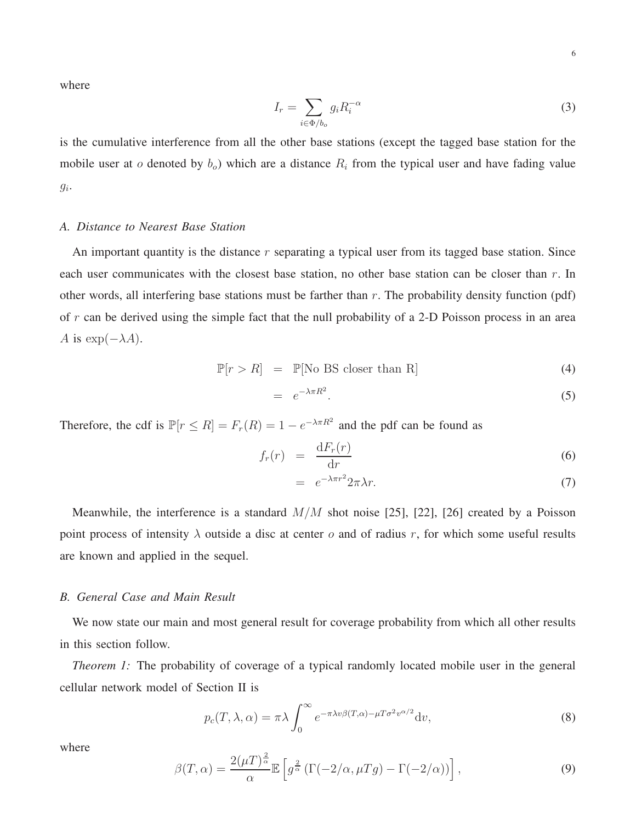where

$$
I_r = \sum_{i \in \Phi/b_o} g_i R_i^{-\alpha} \tag{3}
$$

is the cumulative interference from all the other base stations (except the tagged base station for the mobile user at o denoted by  $b<sub>o</sub>$ ) which are a distance  $R<sub>i</sub>$  from the typical user and have fading value  $g_i$ .

#### *A. Distance to Nearest Base Station*

An important quantity is the distance  $r$  separating a typical user from its tagged base station. Since each user communicates with the closest base station, no other base station can be closer than  $r$ . In other words, all interfering base stations must be farther than  $r$ . The probability density function (pdf) of r can be derived using the simple fact that the null probability of a 2-D Poisson process in an area A is  $\exp(-\lambda A)$ .

$$
\mathbb{P}[r > R] = \mathbb{P}[\text{No BS closer than R}] \tag{4}
$$

$$
= e^{-\lambda \pi R^2}.
$$
 (5)

Therefore, the cdf is  $\mathbb{P}[r \leq R] = F_r(R) = 1 - e^{-\lambda \pi R^2}$  and the pdf can be found as

$$
f_r(r) = \frac{\mathrm{d}F_r(r)}{\mathrm{d}r} \tag{6}
$$

$$
= e^{-\lambda \pi r^2} 2\pi \lambda r. \tag{7}
$$

Meanwhile, the interference is a standard  $M/M$  shot noise [25], [22], [26] created by a Poisson point process of intensity  $\lambda$  outside a disc at center o and of radius r, for which some useful results are known and applied in the sequel.

# *B. General Case and Main Result*

We now state our main and most general result for coverage probability from which all other results in this section follow.

*Theorem 1:* The probability of coverage of a typical randomly located mobile user in the general cellular network model of Section II is

$$
p_c(T, \lambda, \alpha) = \pi \lambda \int_0^\infty e^{-\pi \lambda v \beta(T, \alpha) - \mu T \sigma^2 v^{\alpha/2}} dv,
$$
\n(8)

where

$$
\beta(T,\alpha) = \frac{2(\mu T)^{\frac{2}{\alpha}}}{\alpha} \mathbb{E}\left[g^{\frac{2}{\alpha}}\left(\Gamma(-2/\alpha,\mu T g) - \Gamma(-2/\alpha)\right)\right],\tag{9}
$$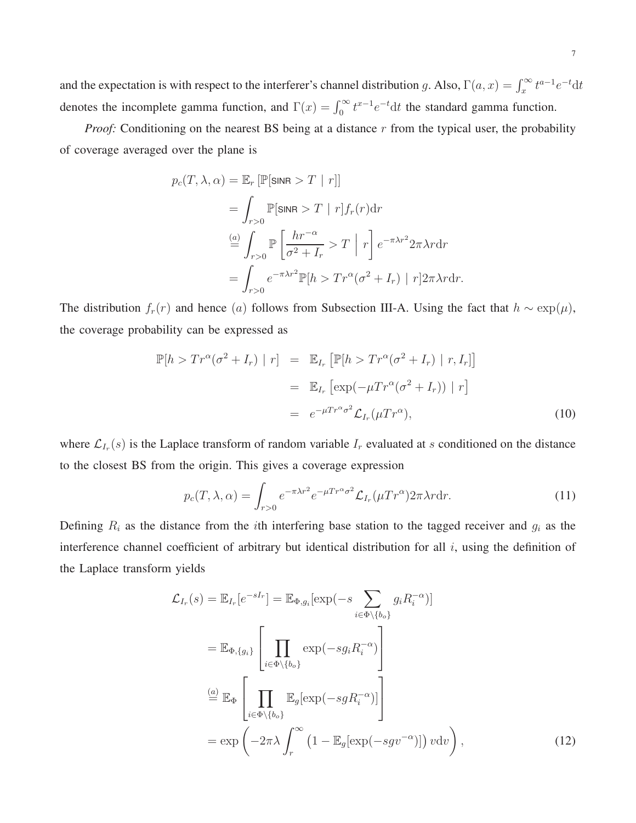and the expectation is with respect to the interferer's channel distribution g. Also,  $\Gamma(a, x) = \int_x^{\infty} t^{a-1} e^{-t} dt$ denotes the incomplete gamma function, and  $\Gamma(x) = \int_0^\infty t^{x-1} e^{-t} dt$  the standard gamma function.

*Proof:* Conditioning on the nearest BS being at a distance r from the typical user, the probability of coverage averaged over the plane is

$$
p_c(T, \lambda, \alpha) = \mathbb{E}_r [\mathbb{P}[\text{SINR} > T \mid r]]
$$
\n
$$
= \int_{r>0} \mathbb{P}[\text{SINR} > T \mid r] f_r(r) \, \mathrm{d}r
$$
\n
$$
\stackrel{(a)}{=} \int_{r>0} \mathbb{P} \left[ \frac{h r^{-\alpha}}{\sigma^2 + I_r} > T \mid r \right] e^{-\pi \lambda r^2} 2\pi \lambda r \, \mathrm{d}r
$$
\n
$$
= \int_{r>0} e^{-\pi \lambda r^2} \mathbb{P}[h > T r^{\alpha} (\sigma^2 + I_r) \mid r] 2\pi \lambda r \, \mathrm{d}r.
$$

The distribution  $f_r(r)$  and hence (a) follows from Subsection III-A. Using the fact that  $h \sim \exp(\mu)$ , the coverage probability can be expressed as

$$
\mathbb{P}[h > Tr^{\alpha}(\sigma^2 + I_r) | r] = \mathbb{E}_{I_r} [\mathbb{P}[h > Tr^{\alpha}(\sigma^2 + I_r) | r, I_r]]
$$
  
\n
$$
= \mathbb{E}_{I_r} [\exp(-\mu Tr^{\alpha}(\sigma^2 + I_r)) | r]
$$
  
\n
$$
= e^{-\mu Tr^{\alpha} \sigma^2} \mathcal{L}_{I_r} (\mu Tr^{\alpha}), \qquad (10)
$$

where  $\mathcal{L}_{I_r}(s)$  is the Laplace transform of random variable  $I_r$  evaluated at s conditioned on the distance to the closest BS from the origin. This gives a coverage expression

$$
p_c(T,\lambda,\alpha) = \int_{r>0} e^{-\pi\lambda r^2} e^{-\mu Tr^{\alpha}\sigma^2} \mathcal{L}_{I_r}(\mu Tr^{\alpha}) 2\pi \lambda r dr.
$$
 (11)

Defining  $R_i$  as the distance from the *i*th interfering base station to the tagged receiver and  $g_i$  as the interference channel coefficient of arbitrary but identical distribution for all i, using the definition of the Laplace transform yields

$$
\mathcal{L}_{I_r}(s) = \mathbb{E}_{I_r}[e^{-sI_r}] = \mathbb{E}_{\Phi, g_i}[\exp(-s \sum_{i \in \Phi \setminus \{b_o\}} g_i R_i^{-\alpha})]
$$
  
\n
$$
= \mathbb{E}_{\Phi, \{g_i\}} \left[ \prod_{i \in \Phi \setminus \{b_o\}} \exp(-s g_i R_i^{-\alpha}) \right]
$$
  
\n
$$
\stackrel{(a)}{=} \mathbb{E}_{\Phi} \left[ \prod_{i \in \Phi \setminus \{b_o\}} \mathbb{E}_{g}[\exp(-s g R_i^{-\alpha})] \right]
$$
  
\n
$$
= \exp\left(-2\pi \lambda \int_r^{\infty} \left(1 - \mathbb{E}_{g}[\exp(-s g v^{-\alpha})]\right) v \, dv\right), \tag{12}
$$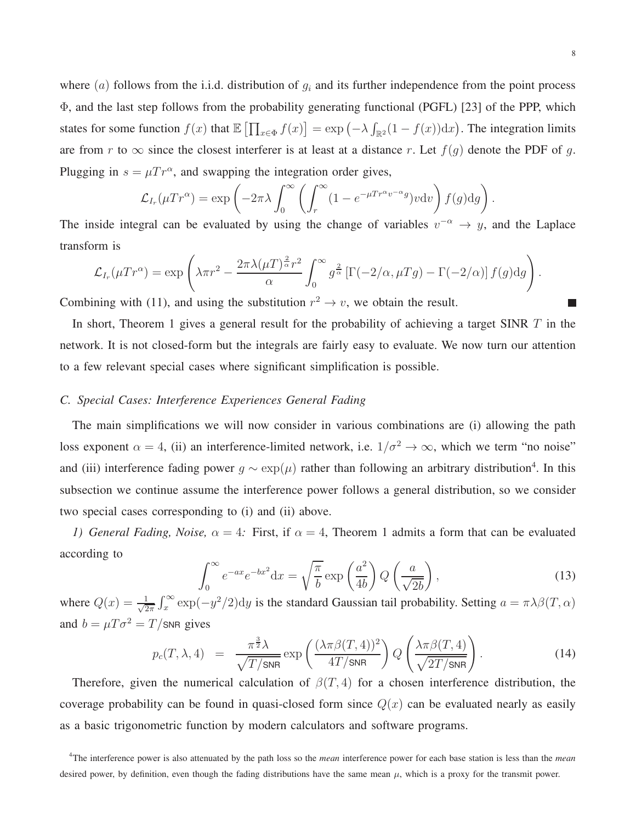where  $(a)$  follows from the i.i.d. distribution of  $g_i$  and its further independence from the point process Φ, and the last step follows from the probability generating functional (PGFL) [23] of the PPP, which states for some function  $f(x)$  that  $\mathbb{E} \left[ \prod_{x \in \Phi} f(x) \right] = \exp \left( -\lambda \int_{\mathbb{R}^2} (1 - f(x)) dx \right)$ . The integration limits are from r to  $\infty$  since the closest interferer is at least at a distance r. Let  $f(q)$  denote the PDF of g. Plugging in  $s = \mu T r^{\alpha}$ , and swapping the integration order gives,

$$
\mathcal{L}_{I_r}(\mu Tr^{\alpha}) = \exp\left(-2\pi\lambda \int_0^{\infty} \left(\int_r^{\infty} (1 - e^{-\mu Tr^{\alpha}v^{-\alpha}g})v \mathrm{d}v\right) f(g) \mathrm{d}g\right).
$$

The inside integral can be evaluated by using the change of variables  $v^{-\alpha} \to y$ , and the Laplace transform is

$$
\mathcal{L}_{I_r}(\mu Tr^{\alpha}) = \exp\left(\lambda \pi r^2 - \frac{2\pi \lambda (\mu T)^{\frac{2}{\alpha}} r^2}{\alpha} \int_0^{\infty} g^{\frac{2}{\alpha}} \left[\Gamma(-2/\alpha, \mu T g) - \Gamma(-2/\alpha)\right] f(g) dg\right).
$$

Combining with (11), and using the substitution  $r^2 \to v$ , we obtain the result.

In short, Theorem 1 gives a general result for the probability of achieving a target SINR  $T$  in the network. It is not closed-form but the integrals are fairly easy to evaluate. We now turn our attention to a few relevant special cases where significant simplification is possible.

#### *C. Special Cases: Interference Experiences General Fading*

The main simplifications we will now consider in various combinations are (i) allowing the path loss exponent  $\alpha = 4$ , (ii) an interference-limited network, i.e.  $1/\sigma^2 \to \infty$ , which we term "no noise" and (iii) interference fading power  $g \sim \exp(\mu)$  rather than following an arbitrary distribution<sup>4</sup>. In this subsection we continue assume the interference power follows a general distribution, so we consider two special cases corresponding to (i) and (ii) above.

*1) General Fading, Noise,*  $\alpha = 4$ : First, if  $\alpha = 4$ , Theorem 1 admits a form that can be evaluated according to

$$
\int_0^\infty e^{-ax} e^{-bx^2} dx = \sqrt{\frac{\pi}{b}} \exp\left(\frac{a^2}{4b}\right) Q\left(\frac{a}{\sqrt{2b}}\right),\tag{13}
$$

where  $Q(x) = \frac{1}{\sqrt{2}}$  $\frac{1}{2\pi} \int_x^{\infty} \exp(-y^2/2) dy$  is the standard Gaussian tail probability. Setting  $a = \pi \lambda \beta(T, \alpha)$ and  $b = \mu T \sigma^2 = T / \text{s}$ NR gives

$$
p_c(T, \lambda, 4) = \frac{\pi^{\frac{3}{2}} \lambda}{\sqrt{T/\text{SNR}}} \exp\left(\frac{(\lambda \pi \beta(T, 4))^2}{4T/\text{SNR}}\right) Q\left(\frac{\lambda \pi \beta(T, 4)}{\sqrt{2T/\text{SNR}}}\right).
$$
 (14)

Therefore, given the numerical calculation of  $\beta(T, 4)$  for a chosen interference distribution, the coverage probability can be found in quasi-closed form since  $Q(x)$  can be evaluated nearly as easily as a basic trigonometric function by modern calculators and software programs.

<sup>4</sup>The interference power is also attenuated by the path loss so the *mean* interference power for each base station is less than the *mean* desired power, by definition, even though the fading distributions have the same mean  $\mu$ , which is a proxy for the transmit power.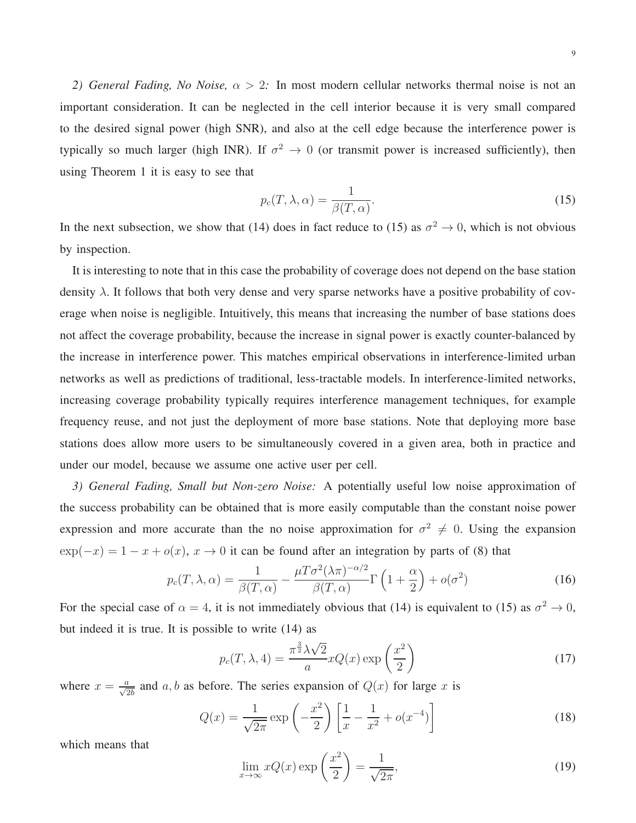*2) General Fading, No Noise,* α > 2*:* In most modern cellular networks thermal noise is not an important consideration. It can be neglected in the cell interior because it is very small compared to the desired signal power (high SNR), and also at the cell edge because the interference power is typically so much larger (high INR). If  $\sigma^2 \to 0$  (or transmit power is increased sufficiently), then using Theorem 1 it is easy to see that

$$
p_c(T, \lambda, \alpha) = \frac{1}{\beta(T, \alpha)}.
$$
\n(15)

In the next subsection, we show that (14) does in fact reduce to (15) as  $\sigma^2 \to 0$ , which is not obvious by inspection.

It is interesting to note that in this case the probability of coverage does not depend on the base station density  $\lambda$ . It follows that both very dense and very sparse networks have a positive probability of coverage when noise is negligible. Intuitively, this means that increasing the number of base stations does not affect the coverage probability, because the increase in signal power is exactly counter-balanced by the increase in interference power. This matches empirical observations in interference-limited urban networks as well as predictions of traditional, less-tractable models. In interference-limited networks, increasing coverage probability typically requires interference management techniques, for example frequency reuse, and not just the deployment of more base stations. Note that deploying more base stations does allow more users to be simultaneously covered in a given area, both in practice and under our model, because we assume one active user per cell.

*3) General Fading, Small but Non-zero Noise:* A potentially useful low noise approximation of the success probability can be obtained that is more easily computable than the constant noise power expression and more accurate than the no noise approximation for  $\sigma^2 \neq 0$ . Using the expansion  $\exp(-x) = 1 - x + o(x)$ ,  $x \to 0$  it can be found after an integration by parts of (8) that

$$
p_c(T, \lambda, \alpha) = \frac{1}{\beta(T, \alpha)} - \frac{\mu T \sigma^2 (\lambda \pi)^{-\alpha/2}}{\beta(T, \alpha)} \Gamma\left(1 + \frac{\alpha}{2}\right) + o(\sigma^2)
$$
(16)

For the special case of  $\alpha = 4$ , it is not immediately obvious that (14) is equivalent to (15) as  $\sigma^2 \to 0$ , but indeed it is true. It is possible to write (14) as

$$
p_c(T, \lambda, 4) = \frac{\pi^{\frac{3}{2}} \lambda \sqrt{2}}{a} x Q(x) \exp\left(\frac{x^2}{2}\right)
$$
 (17)

where  $x = \frac{a}{\sqrt{2b}}$  and a, b as before. The series expansion of  $Q(x)$  for large x is

$$
Q(x) = \frac{1}{\sqrt{2\pi}} \exp\left(-\frac{x^2}{2}\right) \left[\frac{1}{x} - \frac{1}{x^2} + o(x^{-4})\right]
$$
 (18)

which means that

$$
\lim_{x \to \infty} xQ(x) \exp\left(\frac{x^2}{2}\right) = \frac{1}{\sqrt{2\pi}},\tag{19}
$$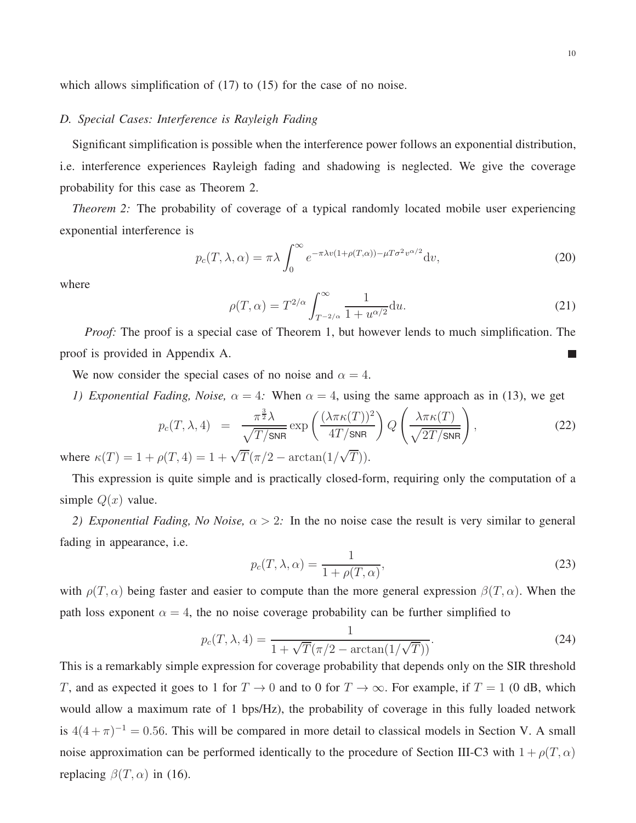which allows simplification of  $(17)$  to  $(15)$  for the case of no noise.

## *D. Special Cases: Interference is Rayleigh Fading*

Significant simplification is possible when the interference power follows an exponential distribution, i.e. interference experiences Rayleigh fading and shadowing is neglected. We give the coverage probability for this case as Theorem 2.

*Theorem 2:* The probability of coverage of a typical randomly located mobile user experiencing exponential interference is

$$
p_c(T,\lambda,\alpha) = \pi\lambda \int_0^\infty e^{-\pi\lambda v(1+\rho(T,\alpha)) - \mu T \sigma^2 v^{\alpha/2}} dv,
$$
\n(20)

where

$$
\rho(T,\alpha) = T^{2/\alpha} \int_{T^{-2/\alpha}}^{\infty} \frac{1}{1 + u^{\alpha/2}} du.
$$
\n(21)

*Proof:* The proof is a special case of Theorem 1, but however lends to much simplification. The proof is provided in Appendix A. m.

We now consider the special cases of no noise and  $\alpha = 4$ .

*1) Exponential Fading, Noise,*  $\alpha = 4$ : When  $\alpha = 4$ , using the same approach as in (13), we get

$$
p_c(T, \lambda, 4) = \frac{\pi^{\frac{3}{2}} \lambda}{\sqrt{T/\text{SNR}}} \exp\left(\frac{(\lambda \pi \kappa(T))^2}{4T/\text{SNR}}\right) Q\left(\frac{\lambda \pi \kappa(T)}{\sqrt{2T/\text{SNR}}}\right),\tag{22}
$$

where  $\kappa(T) = 1 + \rho(T, 4) = 1 + \sqrt{T} (\pi/2 - \arctan(1/\sqrt{T})).$ 

This expression is quite simple and is practically closed-form, requiring only the computation of a simple  $Q(x)$  value.

*2) Exponential Fading, No Noise,*  $\alpha > 2$ : In the no noise case the result is very similar to general fading in appearance, i.e.

$$
p_c(T, \lambda, \alpha) = \frac{1}{1 + \rho(T, \alpha)},
$$
\n(23)

with  $\rho(T, \alpha)$  being faster and easier to compute than the more general expression  $\beta(T, \alpha)$ . When the path loss exponent  $\alpha = 4$ , the no noise coverage probability can be further simplified to

$$
p_c(T, \lambda, 4) = \frac{1}{1 + \sqrt{T}(\pi/2 - \arctan(1/\sqrt{T}))}.
$$
\n(24)

This is a remarkably simple expression for coverage probability that depends only on the SIR threshold T, and as expected it goes to 1 for  $T \to 0$  and to 0 for  $T \to \infty$ . For example, if  $T = 1$  (0 dB, which would allow a maximum rate of 1 bps/Hz), the probability of coverage in this fully loaded network is  $4(4+\pi)^{-1} = 0.56$ . This will be compared in more detail to classical models in Section V. A small noise approximation can be performed identically to the procedure of Section III-C3 with  $1 + \rho(T, \alpha)$ replacing  $\beta(T, \alpha)$  in (16).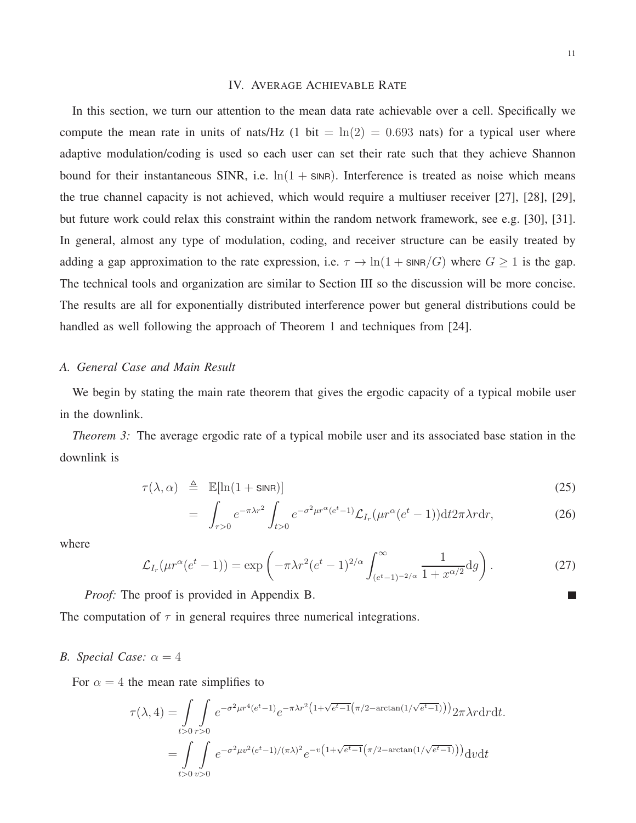### IV. AVERAGE ACHIEVABLE RATE

In this section, we turn our attention to the mean data rate achievable over a cell. Specifically we compute the mean rate in units of nats/Hz (1 bit  $= \ln(2) = 0.693$  nats) for a typical user where adaptive modulation/coding is used so each user can set their rate such that they achieve Shannon bound for their instantaneous SINR, i.e.  $\ln(1 + \text{SINR})$ . Interference is treated as noise which means the true channel capacity is not achieved, which would require a multiuser receiver [27], [28], [29], but future work could relax this constraint within the random network framework, see e.g. [30], [31]. In general, almost any type of modulation, coding, and receiver structure can be easily treated by adding a gap approximation to the rate expression, i.e.  $\tau \to \ln(1 + \sin\theta/G)$  where  $G \ge 1$  is the gap. The technical tools and organization are similar to Section III so the discussion will be more concise. The results are all for exponentially distributed interference power but general distributions could be handled as well following the approach of Theorem 1 and techniques from [24].

# *A. General Case and Main Result*

We begin by stating the main rate theorem that gives the ergodic capacity of a typical mobile user in the downlink.

*Theorem 3:* The average ergodic rate of a typical mobile user and its associated base station in the downlink is

$$
\tau(\lambda, \alpha) \triangleq \mathbb{E}[\ln(1 + \text{SINR})] \tag{25}
$$

$$
= \int_{r>0} e^{-\pi\lambda r^2} \int_{t>0} e^{-\sigma^2 \mu r^{\alpha}(e^t-1)} \mathcal{L}_{I_r}(\mu r^{\alpha}(e^t-1)) \mathrm{d}t 2\pi \lambda r \mathrm{d}r, \tag{26}
$$

where

$$
\mathcal{L}_{I_r}(\mu r^{\alpha}(e^t - 1)) = \exp\left(-\pi \lambda r^2 (e^t - 1)^{2/\alpha} \int_{(e^t - 1)^{-2/\alpha}}^{\infty} \frac{1}{1 + x^{\alpha/2}} \mathrm{d}g\right).
$$
 (27)

*Proof:* The proof is provided in Appendix B.

The computation of  $\tau$  in general requires three numerical integrations.

# *B. Special Case:*  $\alpha = 4$

For  $\alpha = 4$  the mean rate simplifies to

$$
\tau(\lambda, 4) = \int_{t>0} \int_{r>0} e^{-\sigma^2 \mu r^4 (e^t - 1)} e^{-\pi \lambda r^2 (1 + \sqrt{e^t - 1} (\pi/2 - \arctan(1/\sqrt{e^t - 1})))} 2\pi \lambda r \mathrm{d}r \mathrm{d}t.
$$
  
= 
$$
\int_{t>0} \int_{v>0} e^{-\sigma^2 \mu v^2 (e^t - 1)/(\pi \lambda)^2} e^{-v (1 + \sqrt{e^t - 1} (\pi/2 - \arctan(1/\sqrt{e^t - 1})))} \mathrm{d}v \mathrm{d}t
$$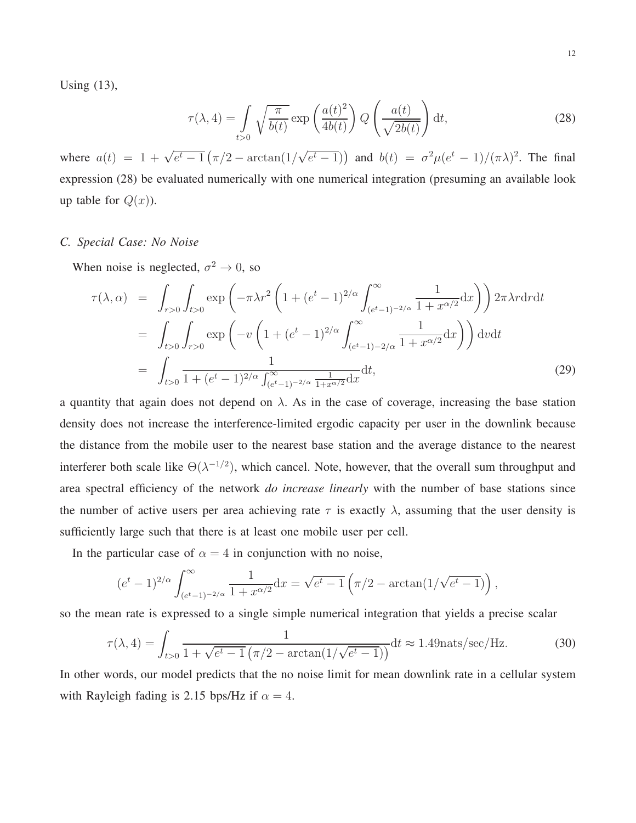Using (13),

$$
\tau(\lambda, 4) = \int_{t>0} \sqrt{\frac{\pi}{b(t)}} \exp\left(\frac{a(t)^2}{4b(t)}\right) Q\left(\frac{a(t)}{\sqrt{2b(t)}}\right) dt,
$$
\n(28)

where  $a(t) = 1 + \sqrt{e^t - 1} (\pi/2 - \arctan(1/\sqrt{e^t - 1}))$  and  $b(t) = \frac{\sigma^2 \mu (e^t - 1)}{(\pi \lambda)^2}$ . The final expression (28) be evaluated numerically with one numerical integration (presuming an available look up table for  $Q(x)$ ).

# *C. Special Case: No Noise*

When noise is neglected,  $\sigma^2 \to 0$ , so

$$
\tau(\lambda, \alpha) = \int_{r>0} \int_{t>0} \exp\left(-\pi \lambda r^2 \left(1 + (e^t - 1)^{2/\alpha} \int_{(e^t - 1)^{-2/\alpha}}^{\infty} \frac{1}{1 + x^{\alpha/2}} dx\right)\right) 2\pi \lambda r dr dt
$$
  
\n
$$
= \int_{t>0} \int_{r>0} \exp\left(-v \left(1 + (e^t - 1)^{2/\alpha} \int_{(e^t - 1)^{-2/\alpha}}^{\infty} \frac{1}{1 + x^{\alpha/2}} dx\right)\right) dv dt
$$
  
\n
$$
= \int_{t>0} \frac{1}{1 + (e^t - 1)^{2/\alpha} \int_{(e^t - 1)^{-2/\alpha}}^{\infty} \frac{1}{1 + x^{\alpha/2}} dt},
$$
(29)

a quantity that again does not depend on  $\lambda$ . As in the case of coverage, increasing the base station density does not increase the interference-limited ergodic capacity per user in the downlink because the distance from the mobile user to the nearest base station and the average distance to the nearest interferer both scale like  $\Theta(\lambda^{-1/2})$ , which cancel. Note, however, that the overall sum throughput and area spectral efficiency of the network *do increase linearly* with the number of base stations since the number of active users per area achieving rate  $\tau$  is exactly  $\lambda$ , assuming that the user density is sufficiently large such that there is at least one mobile user per cell.

In the particular case of  $\alpha = 4$  in conjunction with no noise,

$$
(e^t - 1)^{2/\alpha} \int_{(e^t - 1)^{-2/\alpha}}^{\infty} \frac{1}{1 + x^{\alpha/2}} dx = \sqrt{e^t - 1} \left( \frac{\pi}{2} - \arctan\left(\frac{1}{\sqrt{e^t - 1}}\right) \right),
$$

so the mean rate is expressed to a single simple numerical integration that yields a precise scalar

$$
\tau(\lambda, 4) = \int_{t>0} \frac{1}{1 + \sqrt{e^t - 1} \left( \pi/2 - \arctan(1/\sqrt{e^t - 1}) \right)} dt \approx 1.49 \text{nats/sec/Hz}.
$$
 (30)

In other words, our model predicts that the no noise limit for mean downlink rate in a cellular system with Rayleigh fading is 2.15 bps/Hz if  $\alpha = 4$ .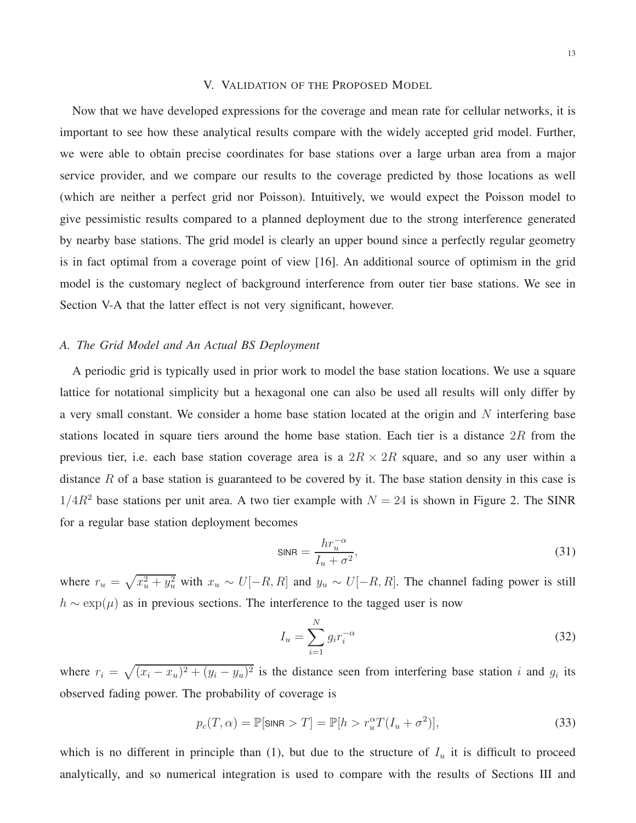## V. VALIDATION OF THE PROPOSED MODEL

Now that we have developed expressions for the coverage and mean rate for cellular networks, it is important to see how these analytical results compare with the widely accepted grid model. Further, we were able to obtain precise coordinates for base stations over a large urban area from a major service provider, and we compare our results to the coverage predicted by those locations as well (which are neither a perfect grid nor Poisson). Intuitively, we would expect the Poisson model to give pessimistic results compared to a planned deployment due to the strong interference generated by nearby base stations. The grid model is clearly an upper bound since a perfectly regular geometry is in fact optimal from a coverage point of view [16]. An additional source of optimism in the grid model is the customary neglect of background interference from outer tier base stations. We see in Section V-A that the latter effect is not very significant, however.

### *A. The Grid Model and An Actual BS Deployment*

A periodic grid is typically used in prior work to model the base station locations. We use a square lattice for notational simplicity but a hexagonal one can also be used all results will only differ by a very small constant. We consider a home base station located at the origin and  $N$  interfering base stations located in square tiers around the home base station. Each tier is a distance  $2R$  from the previous tier, i.e. each base station coverage area is a  $2R \times 2R$  square, and so any user within a distance  $R$  of a base station is guaranteed to be covered by it. The base station density in this case is  $1/4R^2$  base stations per unit area. A two tier example with  $N = 24$  is shown in Figure 2. The SINR for a regular base station deployment becomes

$$
\sin A = \frac{hr_u^{-\alpha}}{I_u + \sigma^2},\tag{31}
$$

where  $r_u = \sqrt{x_u^2 + y_u^2}$  with  $x_u \sim U[-R, R]$  and  $y_u \sim U[-R, R]$ . The channel fading power is still  $h \sim \exp(\mu)$  as in previous sections. The interference to the tagged user is now

$$
I_u = \sum_{i=1}^{N} g_i r_i^{-\alpha} \tag{32}
$$

where  $r_i = \sqrt{(x_i - x_u)^2 + (y_i - y_u)^2}$  is the distance seen from interfering base station i and  $g_i$  its observed fading power. The probability of coverage is

$$
p_c(T, \alpha) = \mathbb{P}[\text{SINR} > T] = \mathbb{P}[h > r_u^{\alpha} T(I_u + \sigma^2)],\tag{33}
$$

which is no different in principle than (1), but due to the structure of  $I_u$  it is difficult to proceed analytically, and so numerical integration is used to compare with the results of Sections III and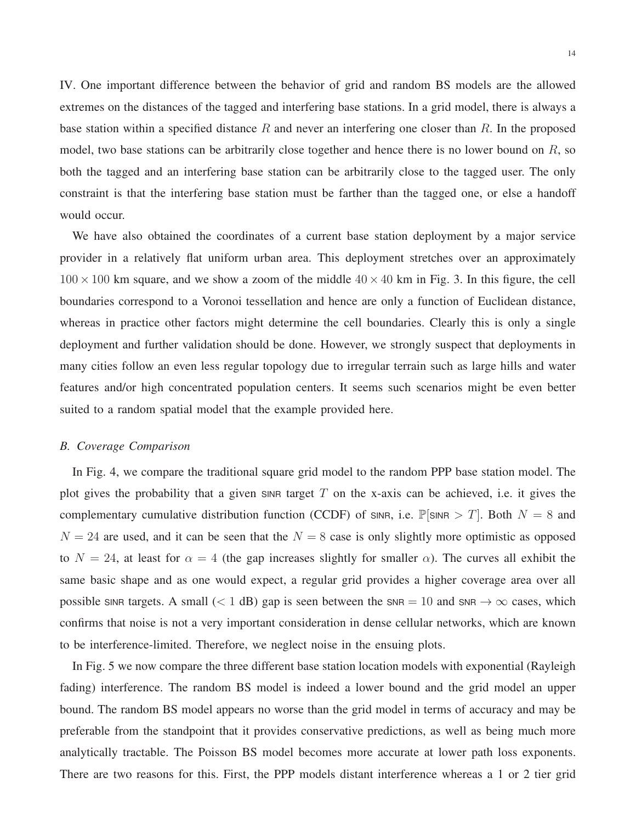IV. One important difference between the behavior of grid and random BS models are the allowed extremes on the distances of the tagged and interfering base stations. In a grid model, there is always a base station within a specified distance R and never an interfering one closer than R. In the proposed model, two base stations can be arbitrarily close together and hence there is no lower bound on  $R$ , so both the tagged and an interfering base station can be arbitrarily close to the tagged user. The only constraint is that the interfering base station must be farther than the tagged one, or else a handoff would occur.

We have also obtained the coordinates of a current base station deployment by a major service provider in a relatively flat uniform urban area. This deployment stretches over an approximately  $100 \times 100$  km square, and we show a zoom of the middle  $40 \times 40$  km in Fig. 3. In this figure, the cell boundaries correspond to a Voronoi tessellation and hence are only a function of Euclidean distance, whereas in practice other factors might determine the cell boundaries. Clearly this is only a single deployment and further validation should be done. However, we strongly suspect that deployments in many cities follow an even less regular topology due to irregular terrain such as large hills and water features and/or high concentrated population centers. It seems such scenarios might be even better suited to a random spatial model that the example provided here.

#### *B. Coverage Comparison*

In Fig. 4, we compare the traditional square grid model to the random PPP base station model. The plot gives the probability that a given  $\text{SINR}$  target T on the x-axis can be achieved, i.e. it gives the complementary cumulative distribution function (CCDF) of SINR, i.e.  $\mathbb{P}[\text{SINR} > T]$ . Both  $N = 8$  and  $N = 24$  are used, and it can be seen that the  $N = 8$  case is only slightly more optimistic as opposed to  $N = 24$ , at least for  $\alpha = 4$  (the gap increases slightly for smaller  $\alpha$ ). The curves all exhibit the same basic shape and as one would expect, a regular grid provides a higher coverage area over all possible SINR targets. A small (< 1 dB) gap is seen between the SNR = 10 and SNR  $\rightarrow \infty$  cases, which confirms that noise is not a very important consideration in dense cellular networks, which are known to be interference-limited. Therefore, we neglect noise in the ensuing plots.

In Fig. 5 we now compare the three different base station location models with exponential (Rayleigh fading) interference. The random BS model is indeed a lower bound and the grid model an upper bound. The random BS model appears no worse than the grid model in terms of accuracy and may be preferable from the standpoint that it provides conservative predictions, as well as being much more analytically tractable. The Poisson BS model becomes more accurate at lower path loss exponents. There are two reasons for this. First, the PPP models distant interference whereas a 1 or 2 tier grid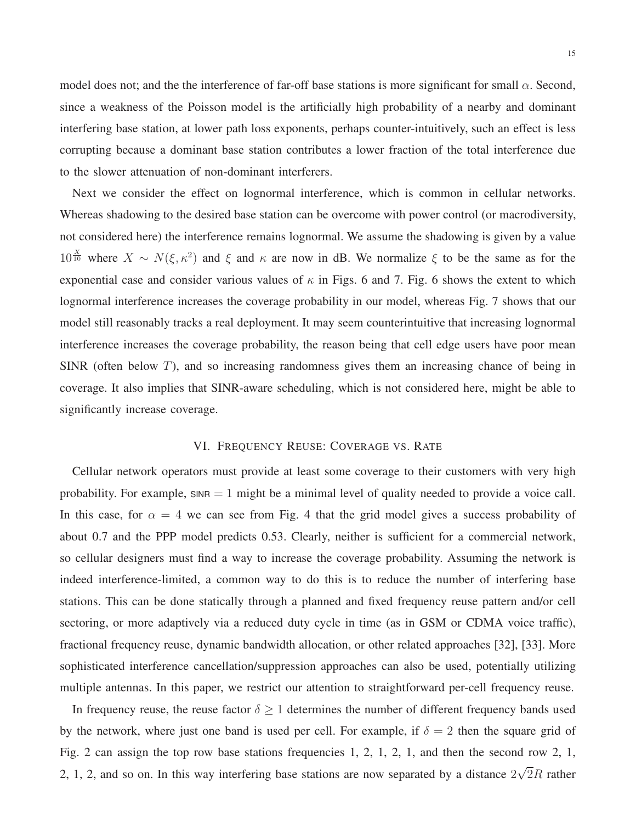model does not; and the the interference of far-off base stations is more significant for small  $\alpha$ . Second, since a weakness of the Poisson model is the artificially high probability of a nearby and dominant interfering base station, at lower path loss exponents, perhaps counter-intuitively, such an effect is less corrupting because a dominant base station contributes a lower fraction of the total interference due to the slower attenuation of non-dominant interferers.

Next we consider the effect on lognormal interference, which is common in cellular networks. Whereas shadowing to the desired base station can be overcome with power control (or macrodiversity, not considered here) the interference remains lognormal. We assume the shadowing is given by a value 10<sup> $\frac{X}{10}$ </sup> where  $X \sim N(\xi, \kappa^2)$  and  $\xi$  and  $\kappa$  are now in dB. We normalize  $\xi$  to be the same as for the exponential case and consider various values of  $\kappa$  in Figs. 6 and 7. Fig. 6 shows the extent to which lognormal interference increases the coverage probability in our model, whereas Fig. 7 shows that our model still reasonably tracks a real deployment. It may seem counterintuitive that increasing lognormal interference increases the coverage probability, the reason being that cell edge users have poor mean SINR (often below T), and so increasing randomness gives them an increasing chance of being in coverage. It also implies that SINR-aware scheduling, which is not considered here, might be able to significantly increase coverage.

#### VI. FREQUENCY REUSE: COVERAGE VS. RATE

Cellular network operators must provide at least some coverage to their customers with very high probability. For example,  $\sin A = 1$  might be a minimal level of quality needed to provide a voice call. In this case, for  $\alpha = 4$  we can see from Fig. 4 that the grid model gives a success probability of about 0.7 and the PPP model predicts 0.53. Clearly, neither is sufficient for a commercial network, so cellular designers must find a way to increase the coverage probability. Assuming the network is indeed interference-limited, a common way to do this is to reduce the number of interfering base stations. This can be done statically through a planned and fixed frequency reuse pattern and/or cell sectoring, or more adaptively via a reduced duty cycle in time (as in GSM or CDMA voice traffic), fractional frequency reuse, dynamic bandwidth allocation, or other related approaches [32], [33]. More sophisticated interference cancellation/suppression approaches can also be used, potentially utilizing multiple antennas. In this paper, we restrict our attention to straightforward per-cell frequency reuse.

In frequency reuse, the reuse factor  $\delta \geq 1$  determines the number of different frequency bands used by the network, where just one band is used per cell. For example, if  $\delta = 2$  then the square grid of Fig. 2 can assign the top row base stations frequencies 1, 2, 1, 2, 1, and then the second row 2, 1, 2, 1, 2, and so on. In this way interfering base stations are now separated by a distance  $2\sqrt{2}R$  rather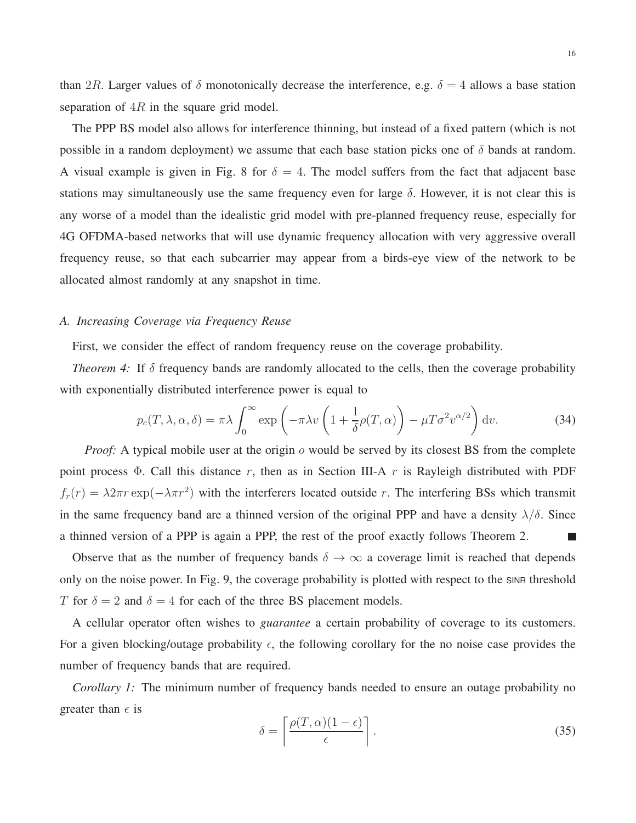than 2R. Larger values of  $\delta$  monotonically decrease the interference, e.g.  $\delta = 4$  allows a base station separation of  $4R$  in the square grid model.

The PPP BS model also allows for interference thinning, but instead of a fixed pattern (which is not possible in a random deployment) we assume that each base station picks one of  $\delta$  bands at random. A visual example is given in Fig. 8 for  $\delta = 4$ . The model suffers from the fact that adjacent base stations may simultaneously use the same frequency even for large  $\delta$ . However, it is not clear this is any worse of a model than the idealistic grid model with pre-planned frequency reuse, especially for 4G OFDMA-based networks that will use dynamic frequency allocation with very aggressive overall frequency reuse, so that each subcarrier may appear from a birds-eye view of the network to be allocated almost randomly at any snapshot in time.

# *A. Increasing Coverage via Frequency Reuse*

First, we consider the effect of random frequency reuse on the coverage probability.

*Theorem 4:* If  $\delta$  frequency bands are randomly allocated to the cells, then the coverage probability with exponentially distributed interference power is equal to

$$
p_c(T, \lambda, \alpha, \delta) = \pi \lambda \int_0^\infty \exp\left(-\pi \lambda v \left(1 + \frac{1}{\delta} \rho(T, \alpha)\right) - \mu T \sigma^2 v^{\alpha/2}\right) dv. \tag{34}
$$

*Proof:* A typical mobile user at the origin o would be served by its closest BS from the complete point process  $\Phi$ . Call this distance r, then as in Section III-A r is Rayleigh distributed with PDF  $f_r(r) = \lambda 2\pi r \exp(-\lambda \pi r^2)$  with the interferers located outside r. The interfering BSs which transmit in the same frequency band are a thinned version of the original PPP and have a density  $\lambda/\delta$ . Since a thinned version of a PPP is again a PPP, the rest of the proof exactly follows Theorem 2.  $\overline{\phantom{a}}$ 

Observe that as the number of frequency bands  $\delta \to \infty$  a coverage limit is reached that depends only on the noise power. In Fig. 9, the coverage probability is plotted with respect to the SINR threshold T for  $\delta = 2$  and  $\delta = 4$  for each of the three BS placement models.

A cellular operator often wishes to *guarantee* a certain probability of coverage to its customers. For a given blocking/outage probability  $\epsilon$ , the following corollary for the no noise case provides the number of frequency bands that are required.

*Corollary 1:* The minimum number of frequency bands needed to ensure an outage probability no greater than  $\epsilon$  is

$$
\delta = \left\lceil \frac{\rho(T, \alpha)(1 - \epsilon)}{\epsilon} \right\rceil. \tag{35}
$$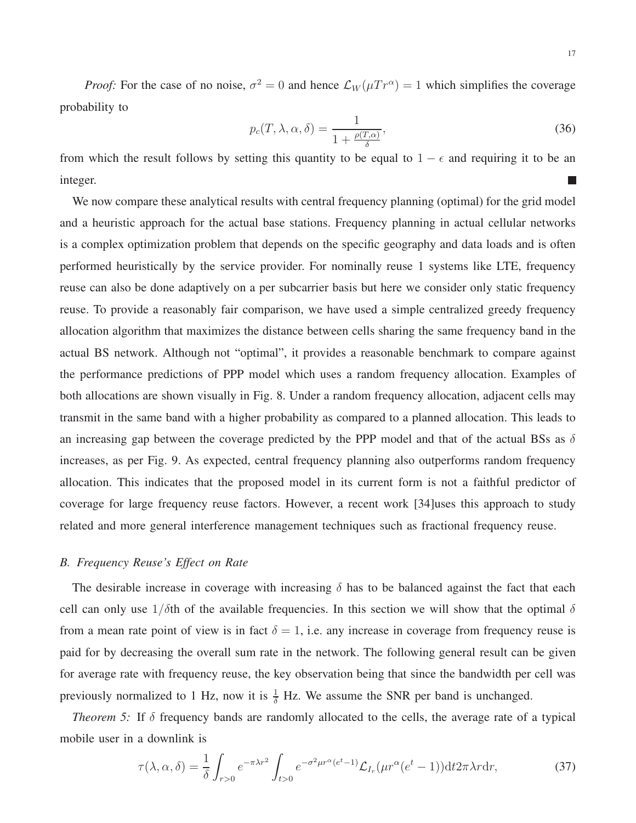*Proof:* For the case of no noise,  $\sigma^2 = 0$  and hence  $\mathcal{L}_W(\mu Tr^{\alpha}) = 1$  which simplifies the coverage probability to

$$
p_c(T, \lambda, \alpha, \delta) = \frac{1}{1 + \frac{\rho(T, \alpha)}{\delta}},
$$
\n(36)

from which the result follows by setting this quantity to be equal to  $1 - \epsilon$  and requiring it to be an integer.

We now compare these analytical results with central frequency planning (optimal) for the grid model and a heuristic approach for the actual base stations. Frequency planning in actual cellular networks is a complex optimization problem that depends on the specific geography and data loads and is often performed heuristically by the service provider. For nominally reuse 1 systems like LTE, frequency reuse can also be done adaptively on a per subcarrier basis but here we consider only static frequency reuse. To provide a reasonably fair comparison, we have used a simple centralized greedy frequency allocation algorithm that maximizes the distance between cells sharing the same frequency band in the actual BS network. Although not "optimal", it provides a reasonable benchmark to compare against the performance predictions of PPP model which uses a random frequency allocation. Examples of both allocations are shown visually in Fig. 8. Under a random frequency allocation, adjacent cells may transmit in the same band with a higher probability as compared to a planned allocation. This leads to an increasing gap between the coverage predicted by the PPP model and that of the actual BSs as  $\delta$ increases, as per Fig. 9. As expected, central frequency planning also outperforms random frequency allocation. This indicates that the proposed model in its current form is not a faithful predictor of coverage for large frequency reuse factors. However, a recent work [34]uses this approach to study related and more general interference management techniques such as fractional frequency reuse.

#### *B. Frequency Reuse's Effect on Rate*

The desirable increase in coverage with increasing  $\delta$  has to be balanced against the fact that each cell can only use  $1/\delta$ th of the available frequencies. In this section we will show that the optimal  $\delta$ from a mean rate point of view is in fact  $\delta = 1$ , i.e. any increase in coverage from frequency reuse is paid for by decreasing the overall sum rate in the network. The following general result can be given for average rate with frequency reuse, the key observation being that since the bandwidth per cell was previously normalized to 1 Hz, now it is  $\frac{1}{\delta}$  Hz. We assume the SNR per band is unchanged.

*Theorem 5:* If δ frequency bands are randomly allocated to the cells, the average rate of a typical mobile user in a downlink is

$$
\tau(\lambda,\alpha,\delta) = \frac{1}{\delta} \int_{r>0} e^{-\pi\lambda r^2} \int_{t>0} e^{-\sigma^2\mu r^{\alpha}(e^t-1)} \mathcal{L}_{I_r}(\mu r^{\alpha}(e^t-1)) \mathrm{d}t 2\pi\lambda r \mathrm{d}r,\tag{37}
$$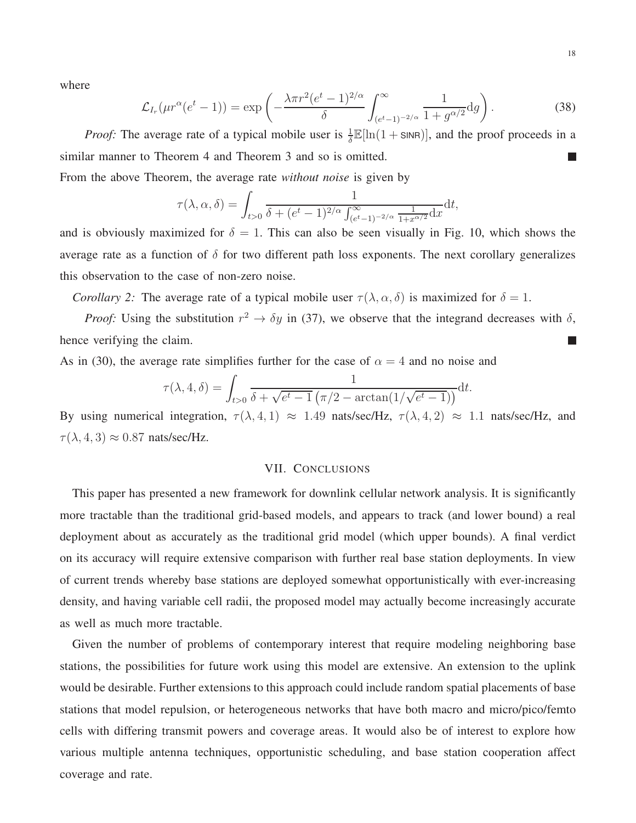where

$$
\mathcal{L}_{I_r}(\mu r^{\alpha}(e^t - 1)) = \exp\left(-\frac{\lambda \pi r^2 (e^t - 1)^{2/\alpha}}{\delta} \int_{(e^t - 1)^{-2/\alpha}}^{\infty} \frac{1}{1 + g^{\alpha/2}} dq\right).
$$
 (38)

dt,

*Proof:* The average rate of a typical mobile user is  $\frac{1}{\delta} \mathbb{E}[\ln(1 + \text{SINR})]$ , and the proof proceeds in a similar manner to Theorem 4 and Theorem 3 and so is omitted. m. From the above Theorem, the average rate *without noise* is given by

> $\tau(\lambda, \alpha, \delta) =$ 1

and is obviously maximized for 
$$
\delta = 1
$$
. This can also be seen visually in Fig. 10, which shows the average rate as a function of  $\delta$  for two different path loss exponents. The next corollary generalizes

this observation to the case of non-zero noise.

*Corollary 2:* The average rate of a typical mobile user  $\tau(\lambda, \alpha, \delta)$  is maximized for  $\delta = 1$ .

*Proof:* Using the substitution  $r^2 \rightarrow \delta y$  in (37), we observe that the integrand decreases with  $\delta$ , hence verifying the claim. m.

As in (30), the average rate simplifies further for the case of  $\alpha = 4$  and no noise and

$$
\tau(\lambda, 4, \delta) = \int_{t>0} \frac{1}{\delta + \sqrt{e^t - 1} \left( \pi/2 - \arctan\left(\frac{1}{\sqrt{e^t - 1}}\right) \right)} \mathrm{d}t.
$$

By using numerical integration,  $\tau(\lambda, 4, 1) \approx 1.49$  nats/sec/Hz,  $\tau(\lambda, 4, 2) \approx 1.1$  nats/sec/Hz, and  $\tau(\lambda, 4, 3) \approx 0.87$  nats/sec/Hz.

## VII. CONCLUSIONS

This paper has presented a new framework for downlink cellular network analysis. It is significantly more tractable than the traditional grid-based models, and appears to track (and lower bound) a real deployment about as accurately as the traditional grid model (which upper bounds). A final verdict on its accuracy will require extensive comparison with further real base station deployments. In view of current trends whereby base stations are deployed somewhat opportunistically with ever-increasing density, and having variable cell radii, the proposed model may actually become increasingly accurate as well as much more tractable.

Given the number of problems of contemporary interest that require modeling neighboring base stations, the possibilities for future work using this model are extensive. An extension to the uplink would be desirable. Further extensions to this approach could include random spatial placements of base stations that model repulsion, or heterogeneous networks that have both macro and micro/pico/femto cells with differing transmit powers and coverage areas. It would also be of interest to explore how various multiple antenna techniques, opportunistic scheduling, and base station cooperation affect coverage and rate.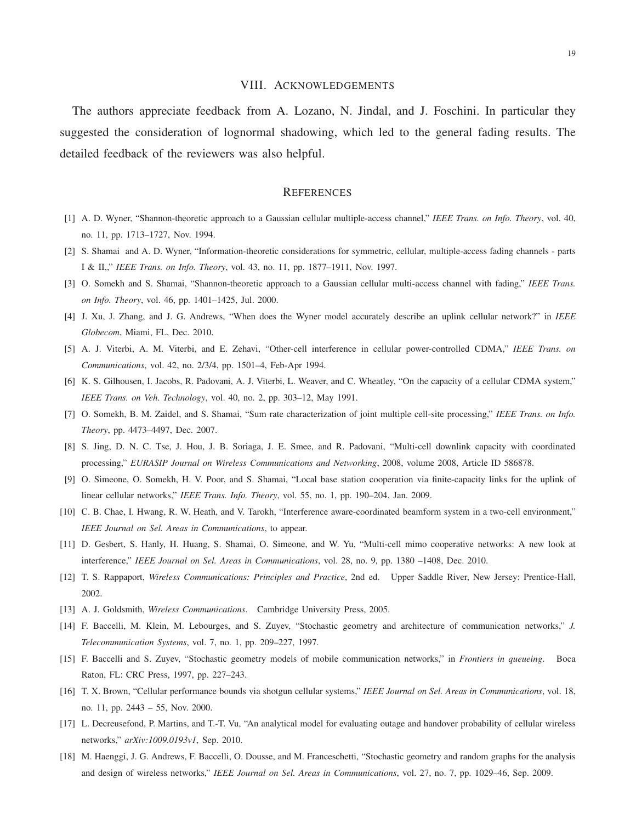# VIII. ACKNOWLEDGEMENTS

The authors appreciate feedback from A. Lozano, N. Jindal, and J. Foschini. In particular they suggested the consideration of lognormal shadowing, which led to the general fading results. The detailed feedback of the reviewers was also helpful.

#### **REFERENCES**

- [1] A. D. Wyner, "Shannon-theoretic approach to a Gaussian cellular multiple-access channel," *IEEE Trans. on Info. Theory*, vol. 40, no. 11, pp. 1713–1727, Nov. 1994.
- [2] S. Shamai and A. D. Wyner, "Information-theoretic considerations for symmetric, cellular, multiple-access fading channels parts I & II,," *IEEE Trans. on Info. Theory*, vol. 43, no. 11, pp. 1877–1911, Nov. 1997.
- [3] O. Somekh and S. Shamai, "Shannon-theoretic approach to a Gaussian cellular multi-access channel with fading," *IEEE Trans. on Info. Theory*, vol. 46, pp. 1401–1425, Jul. 2000.
- [4] J. Xu, J. Zhang, and J. G. Andrews, "When does the Wyner model accurately describe an uplink cellular network?" in *IEEE Globecom*, Miami, FL, Dec. 2010.
- [5] A. J. Viterbi, A. M. Viterbi, and E. Zehavi, "Other-cell interference in cellular power-controlled CDMA," *IEEE Trans. on Communications*, vol. 42, no. 2/3/4, pp. 1501–4, Feb-Apr 1994.
- [6] K. S. Gilhousen, I. Jacobs, R. Padovani, A. J. Viterbi, L. Weaver, and C. Wheatley, "On the capacity of a cellular CDMA system," *IEEE Trans. on Veh. Technology*, vol. 40, no. 2, pp. 303–12, May 1991.
- [7] O. Somekh, B. M. Zaidel, and S. Shamai, "Sum rate characterization of joint multiple cell-site processing," *IEEE Trans. on Info. Theory*, pp. 4473–4497, Dec. 2007.
- [8] S. Jing, D. N. C. Tse, J. Hou, J. B. Soriaga, J. E. Smee, and R. Padovani, "Multi-cell downlink capacity with coordinated processing," *EURASIP Journal on Wireless Communications and Networking*, 2008, volume 2008, Article ID 586878.
- [9] O. Simeone, O. Somekh, H. V. Poor, and S. Shamai, "Local base station cooperation via finite-capacity links for the uplink of linear cellular networks," *IEEE Trans. Info. Theory*, vol. 55, no. 1, pp. 190–204, Jan. 2009.
- [10] C. B. Chae, I. Hwang, R. W. Heath, and V. Tarokh, "Interference aware-coordinated beamform system in a two-cell environment," *IEEE Journal on Sel. Areas in Communications*, to appear.
- [11] D. Gesbert, S. Hanly, H. Huang, S. Shamai, O. Simeone, and W. Yu, "Multi-cell mimo cooperative networks: A new look at interference," *IEEE Journal on Sel. Areas in Communications*, vol. 28, no. 9, pp. 1380 –1408, Dec. 2010.
- [12] T. S. Rappaport, *Wireless Communications: Principles and Practice*, 2nd ed. Upper Saddle River, New Jersey: Prentice-Hall, 2002.
- [13] A. J. Goldsmith, *Wireless Communications*. Cambridge University Press, 2005.
- [14] F. Baccelli, M. Klein, M. Lebourges, and S. Zuyev, "Stochastic geometry and architecture of communication networks," *J. Telecommunication Systems*, vol. 7, no. 1, pp. 209–227, 1997.
- [15] F. Baccelli and S. Zuyev, "Stochastic geometry models of mobile communication networks," in *Frontiers in queueing*. Boca Raton, FL: CRC Press, 1997, pp. 227–243.
- [16] T. X. Brown, "Cellular performance bounds via shotgun cellular systems," *IEEE Journal on Sel. Areas in Communications*, vol. 18, no. 11, pp. 2443 – 55, Nov. 2000.
- [17] L. Decreusefond, P. Martins, and T.-T. Vu, "An analytical model for evaluating outage and handover probability of cellular wireless networks," *arXiv:1009.0193v1*, Sep. 2010.
- [18] M. Haenggi, J. G. Andrews, F. Baccelli, O. Dousse, and M. Franceschetti, "Stochastic geometry and random graphs for the analysis and design of wireless networks," *IEEE Journal on Sel. Areas in Communications*, vol. 27, no. 7, pp. 1029–46, Sep. 2009.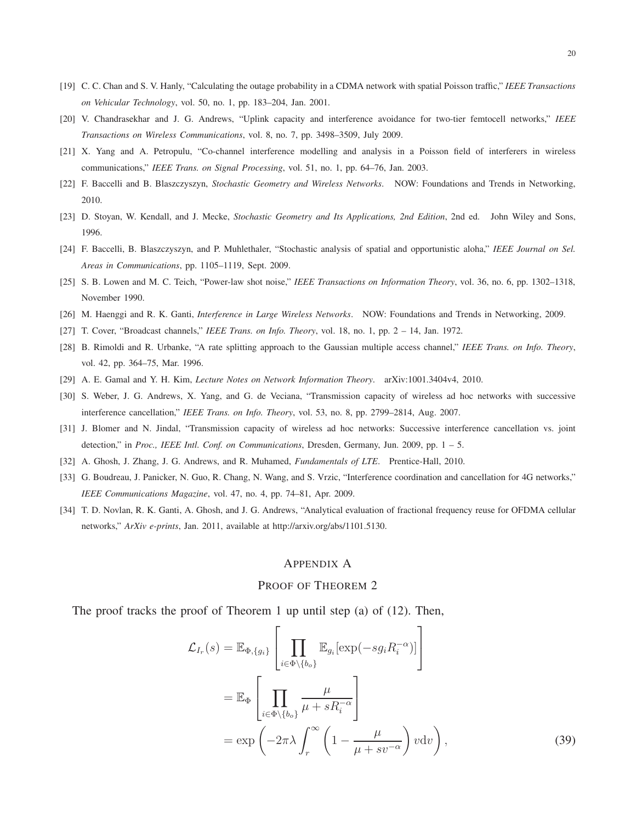- [19] C. C. Chan and S. V. Hanly, "Calculating the outage probability in a CDMA network with spatial Poisson traffic," *IEEE Transactions on Vehicular Technology*, vol. 50, no. 1, pp. 183–204, Jan. 2001.
- [20] V. Chandrasekhar and J. G. Andrews, "Uplink capacity and interference avoidance for two-tier femtocell networks," *IEEE Transactions on Wireless Communications*, vol. 8, no. 7, pp. 3498–3509, July 2009.
- [21] X. Yang and A. Petropulu, "Co-channel interference modelling and analysis in a Poisson field of interferers in wireless communications," *IEEE Trans. on Signal Processing*, vol. 51, no. 1, pp. 64–76, Jan. 2003.
- [22] F. Baccelli and B. Blaszczyszyn, *Stochastic Geometry and Wireless Networks*. NOW: Foundations and Trends in Networking, 2010.
- [23] D. Stoyan, W. Kendall, and J. Mecke, *Stochastic Geometry and Its Applications, 2nd Edition*, 2nd ed. John Wiley and Sons, 1996.
- [24] F. Baccelli, B. Blaszczyszyn, and P. Muhlethaler, "Stochastic analysis of spatial and opportunistic aloha," *IEEE Journal on Sel. Areas in Communications*, pp. 1105–1119, Sept. 2009.
- [25] S. B. Lowen and M. C. Teich, "Power-law shot noise," *IEEE Transactions on Information Theory*, vol. 36, no. 6, pp. 1302–1318, November 1990.
- [26] M. Haenggi and R. K. Ganti, *Interference in Large Wireless Networks*. NOW: Foundations and Trends in Networking, 2009.
- [27] T. Cover, "Broadcast channels," *IEEE Trans. on Info. Theory*, vol. 18, no. 1, pp. 2 14, Jan. 1972.
- [28] B. Rimoldi and R. Urbanke, "A rate splitting approach to the Gaussian multiple access channel," *IEEE Trans. on Info. Theory*, vol. 42, pp. 364–75, Mar. 1996.
- [29] A. E. Gamal and Y. H. Kim, *Lecture Notes on Network Information Theory*. arXiv:1001.3404v4, 2010.
- [30] S. Weber, J. G. Andrews, X. Yang, and G. de Veciana, "Transmission capacity of wireless ad hoc networks with successive interference cancellation," *IEEE Trans. on Info. Theory*, vol. 53, no. 8, pp. 2799–2814, Aug. 2007.
- [31] J. Blomer and N. Jindal, "Transmission capacity of wireless ad hoc networks: Successive interference cancellation vs. joint detection," in *Proc., IEEE Intl. Conf. on Communications*, Dresden, Germany, Jun. 2009, pp. 1 – 5.
- [32] A. Ghosh, J. Zhang, J. G. Andrews, and R. Muhamed, *Fundamentals of LTE*. Prentice-Hall, 2010.
- [33] G. Boudreau, J. Panicker, N. Guo, R. Chang, N. Wang, and S. Vrzic, "Interference coordination and cancellation for 4G networks," *IEEE Communications Magazine*, vol. 47, no. 4, pp. 74–81, Apr. 2009.
- [34] T. D. Novlan, R. K. Ganti, A. Ghosh, and J. G. Andrews, "Analytical evaluation of fractional frequency reuse for OFDMA cellular networks," *ArXiv e-prints*, Jan. 2011, available at http://arxiv.org/abs/1101.5130.

#### APPENDIX A

#### PROOF OF THEOREM 2

The proof tracks the proof of Theorem 1 up until step (a) of (12). Then,

$$
\mathcal{L}_{I_r}(s) = \mathbb{E}_{\Phi, \{g_i\}} \left[ \prod_{i \in \Phi \setminus \{b_o\}} \mathbb{E}_{g_i} [\exp(-sg_i R_i^{-\alpha})] \right]
$$

$$
= \mathbb{E}_{\Phi} \left[ \prod_{i \in \Phi \setminus \{b_o\}} \frac{\mu}{\mu + s R_i^{-\alpha}} \right]
$$

$$
= \exp\left( -2\pi \lambda \int_r^{\infty} \left( 1 - \frac{\mu}{\mu + s v^{-\alpha}} \right) v \, \mathrm{d}v \right), \tag{39}
$$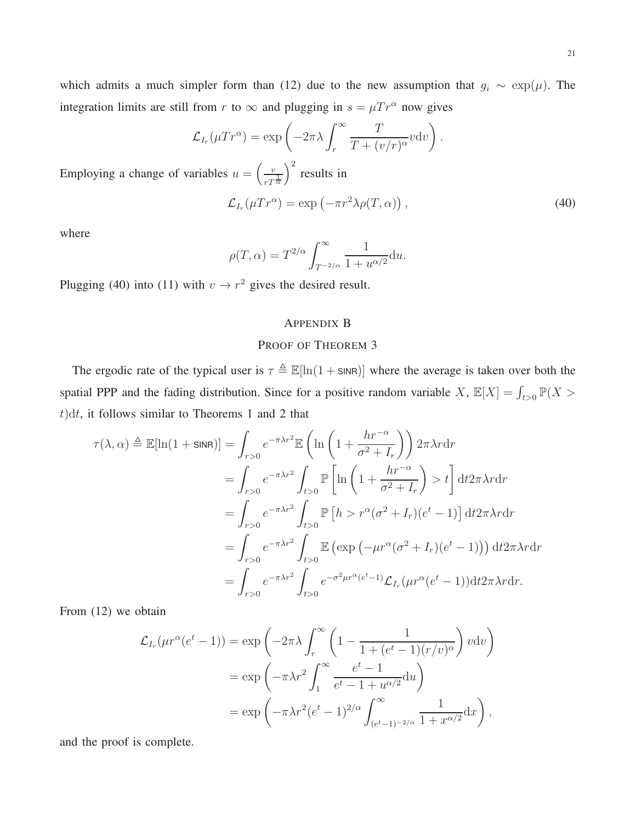$$
\mathcal{L}_{I_r}(\mu Tr^{\alpha}) = \exp\left(-2\pi\lambda \int_r^{\infty} \frac{T}{T + (v/r)^{\alpha}} v \mathrm{d}v\right).
$$

Employing a change of variables  $u = \left(\frac{v}{\pi}\right)$  $rT^{\frac{1}{\alpha}}$  $\int_{0}^{2}$  results in

$$
\mathcal{L}_{I_r}(\mu Tr^{\alpha}) = \exp\left(-\pi r^2 \lambda \rho(T,\alpha)\right),\tag{40}
$$

where

$$
\rho(T,\alpha) = T^{2/\alpha} \int_{T^{-2/\alpha}}^{\infty} \frac{1}{1 + u^{\alpha/2}} du.
$$

Plugging (40) into (11) with  $v \to r^2$  gives the desired result.

#### APPENDIX B

# PROOF OF THEOREM 3

The ergodic rate of the typical user is  $\tau \triangleq \mathbb{E}[\ln(1 + \text{SINR})]$  where the average is taken over both the spatial PPP and the fading distribution. Since for a positive random variable X,  $\mathbb{E}[X] = \int_{t>0} \mathbb{P}(X >$  $t)dt$ , it follows similar to Theorems 1 and 2 that

$$
\tau(\lambda, \alpha) \triangleq \mathbb{E}[\ln(1 + \sinh)] = \int_{r>0} e^{-\pi\lambda r^2} \mathbb{E}\left(\ln\left(1 + \frac{hr^{-\alpha}}{\sigma^2 + I_r}\right)\right) 2\pi\lambda r dr
$$
  
\n
$$
= \int_{r>0} e^{-\pi\lambda r^2} \int_{t>0} \mathbb{P}\left[\ln\left(1 + \frac{hr^{-\alpha}}{\sigma^2 + I_r}\right) > t\right] dt 2\pi\lambda r dr
$$
  
\n
$$
= \int_{r>0} e^{-\pi\lambda r^2} \int_{t>0} \mathbb{P}\left[h > r^{\alpha}(\sigma^2 + I_r)(e^t - 1)\right] dt 2\pi\lambda r dr
$$
  
\n
$$
= \int_{r>0} e^{-\pi\lambda r^2} \int_{t>0} \mathbb{E}\left(\exp\left(-\mu r^{\alpha}(\sigma^2 + I_r)(e^t - 1)\right)\right) dt 2\pi\lambda r dr
$$
  
\n
$$
= \int_{r>0} e^{-\pi\lambda r^2} \int_{t>0} e^{-\sigma^2\mu r^{\alpha}(e^t - 1)} \mathcal{L}_{I_r}(\mu r^{\alpha}(e^t - 1)) dt 2\pi\lambda r dr.
$$

From (12) we obtain

$$
\mathcal{L}_{I_r}(\mu r^{\alpha}(e^t - 1)) = \exp\left(-2\pi\lambda \int_r^{\infty} \left(1 - \frac{1}{1 + (e^t - 1)(r/v)^{\alpha}}\right)v dv\right)
$$
  

$$
= \exp\left(-\pi\lambda r^2 \int_1^{\infty} \frac{e^t - 1}{e^t - 1 + u^{\alpha/2}} du\right)
$$
  

$$
= \exp\left(-\pi\lambda r^2 (e^t - 1)^{2/\alpha} \int_{(e^t - 1)^{-2/\alpha}}^{\infty} \frac{1}{1 + x^{\alpha/2}} dx\right),
$$

and the proof is complete.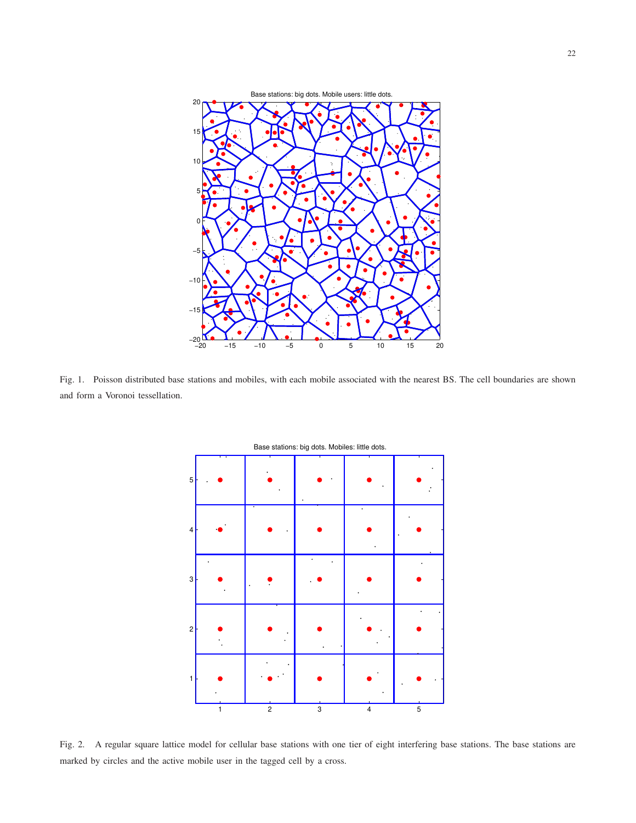

Fig. 1. Poisson distributed base stations and mobiles, with each mobile associated with the nearest BS. The cell boundaries are shown and form a Voronoi tessellation.



Fig. 2. A regular square lattice model for cellular base stations with one tier of eight interfering base stations. The base stations are marked by circles and the active mobile user in the tagged cell by a cross.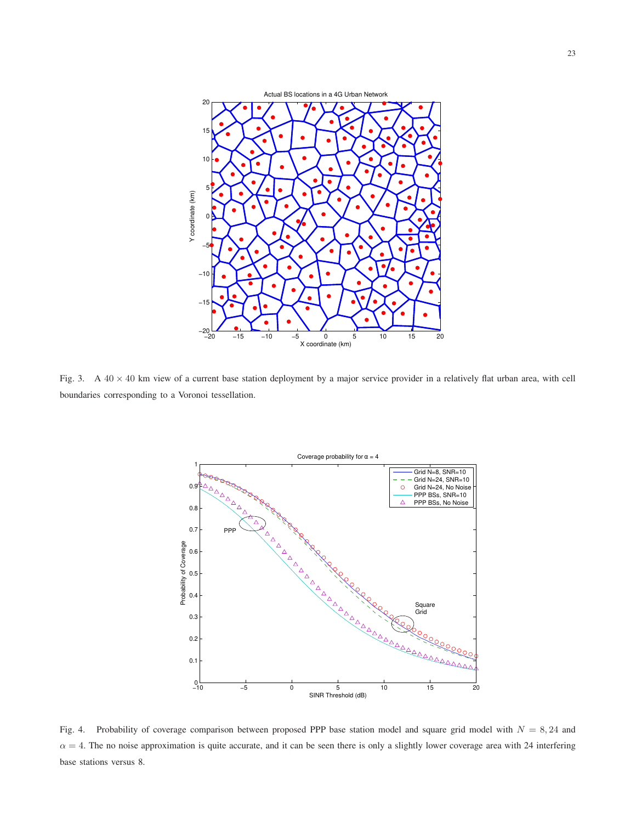

Fig. 3. A  $40 \times 40$  km view of a current base station deployment by a major service provider in a relatively flat urban area, with cell boundaries corresponding to a Voronoi tessellation.



Fig. 4. Probability of coverage comparison between proposed PPP base station model and square grid model with  $N = 8,24$  and  $\alpha = 4$ . The no noise approximation is quite accurate, and it can be seen there is only a slightly lower coverage area with 24 interfering base stations versus 8.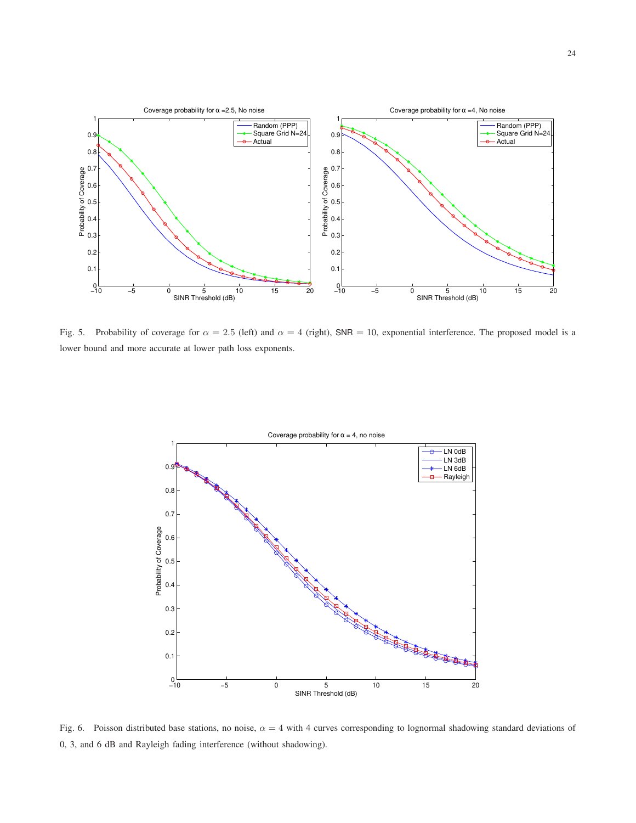

Fig. 5. Probability of coverage for  $\alpha = 2.5$  (left) and  $\alpha = 4$  (right), SNR = 10, exponential interference. The proposed model is a lower bound and more accurate at lower path loss exponents.



Fig. 6. Poisson distributed base stations, no noise,  $\alpha = 4$  with 4 curves corresponding to lognormal shadowing standard deviations of 0, 3, and 6 dB and Rayleigh fading interference (without shadowing).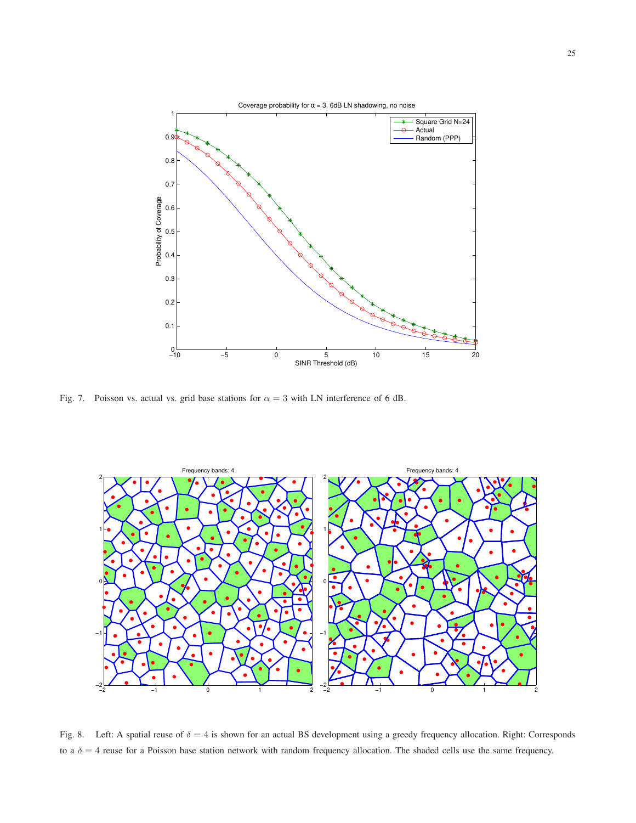

Fig. 7. Poisson vs. actual vs. grid base stations for  $\alpha = 3$  with LN interference of 6 dB.



Fig. 8. Left: A spatial reuse of  $\delta = 4$  is shown for an actual BS development using a greedy frequency allocation. Right: Corresponds to a  $\delta = 4$  reuse for a Poisson base station network with random frequency allocation. The shaded cells use the same frequency.